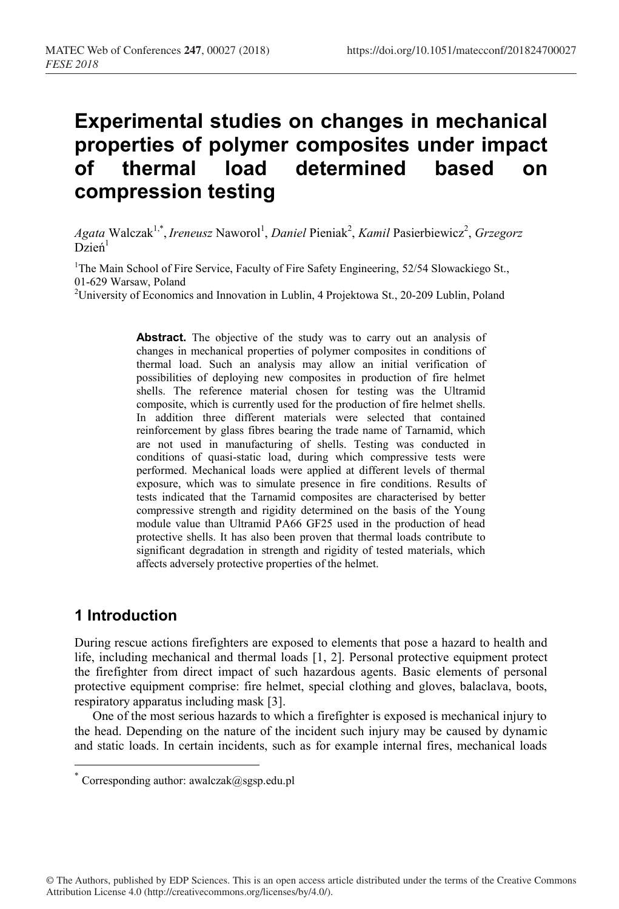# **Experimental studies on changes in mechanical properties of polymer composites under impact of thermal load determined based on compression testing**

Agata Walczak<sup>1,\*</sup>, *Ireneusz* Naworol<sup>1</sup>, *Daniel Pieniak<sup>2</sup>, Kamil Pasierbiewicz<sup>2</sup>, Grzegorz*  $Dzien<sup>1</sup>$ 

<sup>1</sup>The Main School of Fire Service, Faculty of Fire Safety Engineering, 52/54 Slowackiego St.,

01-629 Warsaw, Poland<br><sup>2</sup>University of Economics and Innovation in Lublin, 4 Projektowa St., 20-209 Lublin, Poland

Abstract. The objective of the study was to carry out an analysis of changes in mechanical properties of polymer composites in conditions of thermal load. Such an analysis may allow an initial verification of possibilities of deploying new composites in production of fire helmet shells. The reference material chosen for testing was the Ultramid composite, which is currently used for the production of fire helmet shells. In addition three different materials were selected that contained reinforcement by glass fibres bearing the trade name of Tarnamid, which are not used in manufacturing of shells. Testing was conducted in conditions of quasi-static load, during which compressive tests were performed. Mechanical loads were applied at different levels of thermal exposure, which was to simulate presence in fire conditions. Results of tests indicated that the Tarnamid composites are characterised by better compressive strength and rigidity determined on the basis of the Young module value than Ultramid PA66 GF25 used in the production of head protective shells. It has also been proven that thermal loads contribute to significant degradation in strength and rigidity of tested materials, which affects adversely protective properties of the helmet.

## **1 Introduction**

During rescue actions firefighters are exposed to elements that pose a hazard to health and life, including mechanical and thermal loads [1, 2]. Personal protective equipment protect the firefighter from direct impact of such hazardous agents. Basic elements of personal protective equipment comprise: fire helmet, special clothing and gloves, balaclava, boots, respiratory apparatus including mask [3].

One of the most serious hazards to which a firefighter is exposed is mechanical injury to the head. Depending on the nature of the incident such injury may be caused by dynamic and static loads. In certain incidents, such as for example internal fires, mechanical loads

<sup>\*</sup> Corresponding author: awalczak@sgsp.edu.pl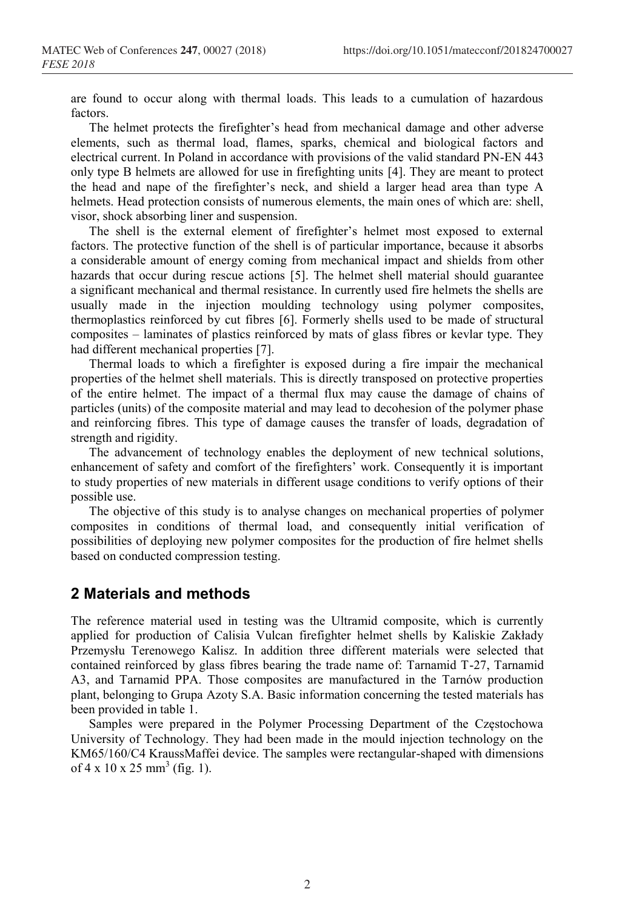are found to occur along with thermal loads. This leads to a cumulation of hazardous factors.

The helmet protects the firefighter's head from mechanical damage and other adverse elements, such as thermal load, flames, sparks, chemical and biological factors and electrical current. In Poland in accordance with provisions of the valid standard PN-EN 443 only type B helmets are allowed for use in firefighting units [4]. They are meant to protect the head and nape of the firefighter's neck, and shield a larger head area than type A helmets. Head protection consists of numerous elements, the main ones of which are: shell, visor, shock absorbing liner and suspension.

The shell is the external element of firefighter's helmet most exposed to external factors. The protective function of the shell is of particular importance, because it absorbs a considerable amount of energy coming from mechanical impact and shields from other hazards that occur during rescue actions [5]. The helmet shell material should guarantee a significant mechanical and thermal resistance. In currently used fire helmets the shells are usually made in the injection moulding technology using polymer composites, thermoplastics reinforced by cut fibres [6]. Formerly shells used to be made of structural composites – laminates of plastics reinforced by mats of glass fibres or kevlar type. They had different mechanical properties [7].

Thermal loads to which a firefighter is exposed during a fire impair the mechanical properties of the helmet shell materials. This is directly transposed on protective properties of the entire helmet. The impact of a thermal flux may cause the damage of chains of particles (units) of the composite material and may lead to decohesion of the polymer phase and reinforcing fibres. This type of damage causes the transfer of loads, degradation of strength and rigidity.

The advancement of technology enables the deployment of new technical solutions, enhancement of safety and comfort of the firefighters' work. Consequently it is important to study properties of new materials in different usage conditions to verify options of their possible use.

The objective of this study is to analyse changes on mechanical properties of polymer composites in conditions of thermal load, and consequently initial verification of possibilities of deploying new polymer composites for the production of fire helmet shells based on conducted compression testing.

#### **2 Materials and methods**

The reference material used in testing was the Ultramid composite, which is currently applied for production of Calisia Vulcan firefighter helmet shells by Kaliskie Zakłady Przemysłu Terenowego Kalisz. In addition three different materials were selected that contained reinforced by glass fibres bearing the trade name of: Tarnamid T-27, Tarnamid A3, and Tarnamid PPA. Those composites are manufactured in the Tarnów production plant, belonging to Grupa Azoty S.A. Basic information concerning the tested materials has been provided in table 1.

Samples were prepared in the Polymer Processing Department of the Częstochowa University of Technology. They had been made in the mould injection technology on the KM65/160/C4 KraussMaffei device. The samples were rectangular-shaped with dimensions of  $4 \times 10 \times 25$  mm<sup>3</sup> (fig. 1).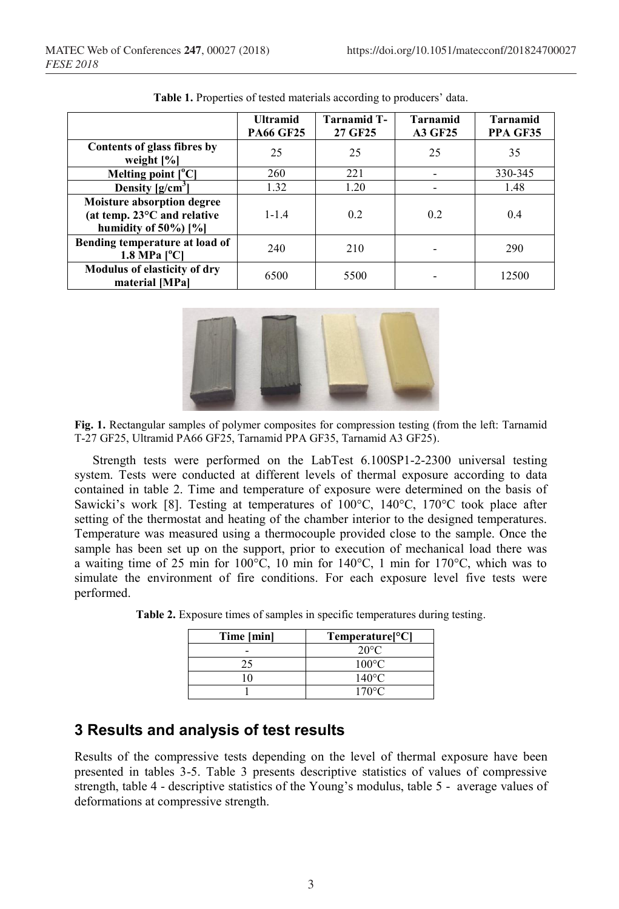|                                                                                               | <b>Ultramid</b><br><b>PA66 GF25</b> | <b>Tarnamid T-</b><br>27 GF25 | <b>Tarnamid</b><br><b>A3 GF25</b> | <b>Tarnamid</b><br>PPA GF35 |
|-----------------------------------------------------------------------------------------------|-------------------------------------|-------------------------------|-----------------------------------|-----------------------------|
| Contents of glass fibres by<br>weight $[\%]$                                                  | 25                                  | 25                            | 25                                | 35                          |
| Melting point $[°C]$                                                                          | 260                                 | 221                           |                                   | 330-345                     |
| Density $[g/cm^3]$                                                                            | 1.32                                | 1.20                          |                                   | 1.48                        |
| Moisture absorption degree<br>(at temp. $23^{\circ}$ C and relative<br>humidity of $50\%$ [%] | $1 - 1.4$                           | 0.2                           | 0.2                               | 0.4                         |
| Bending temperature at load of<br>$1.8$ MPa $[^{\circ}$ Cl                                    | 240                                 | 210                           |                                   | 290                         |
| Modulus of elasticity of dry<br>material [MPa]                                                | 6500                                | 5500                          |                                   | 12500                       |

**Table 1.** Properties of tested materials according to producers' data.



**Fig. 1.** Rectangular samples of polymer composites for compression testing (from the left: Tarnamid T-27 GF25, Ultramid PA66 GF25, Tarnamid PPA GF35, Tarnamid A3 GF25).

Strength tests were performed on the LabTest 6.100SP1-2-2300 universal testing system. Tests were conducted at different levels of thermal exposure according to data contained in table 2. Time and temperature of exposure were determined on the basis of Sawicki's work [8]. Testing at temperatures of  $100^{\circ}$ C,  $140^{\circ}$ C,  $170^{\circ}$ C took place after setting of the thermostat and heating of the chamber interior to the designed temperatures. Temperature was measured using a thermocouple provided close to the sample. Once the sample has been set up on the support, prior to execution of mechanical load there was a waiting time of 25 min for 100°C, 10 min for 140°C, 1 min for 170°C, which was to simulate the environment of fire conditions. For each exposure level five tests were performed.

| Time [min] | $Temperature[^{\circ}C]$ |
|------------|--------------------------|
|            | $20^{\circ}$ C           |
|            | $100^{\circ}$ C          |
|            | $140^{\circ}$ C          |
|            | $170^{\circ}$ C          |

**Table 2.** Exposure times of samples in specific temperatures during testing.

# **3 Results and analysis of test results**

Results of the compressive tests depending on the level of thermal exposure have been presented in tables 3-5. Table 3 presents descriptive statistics of values of compressive strength, table 4 - descriptive statistics of the Young's modulus, table 5 - average values of deformations at compressive strength.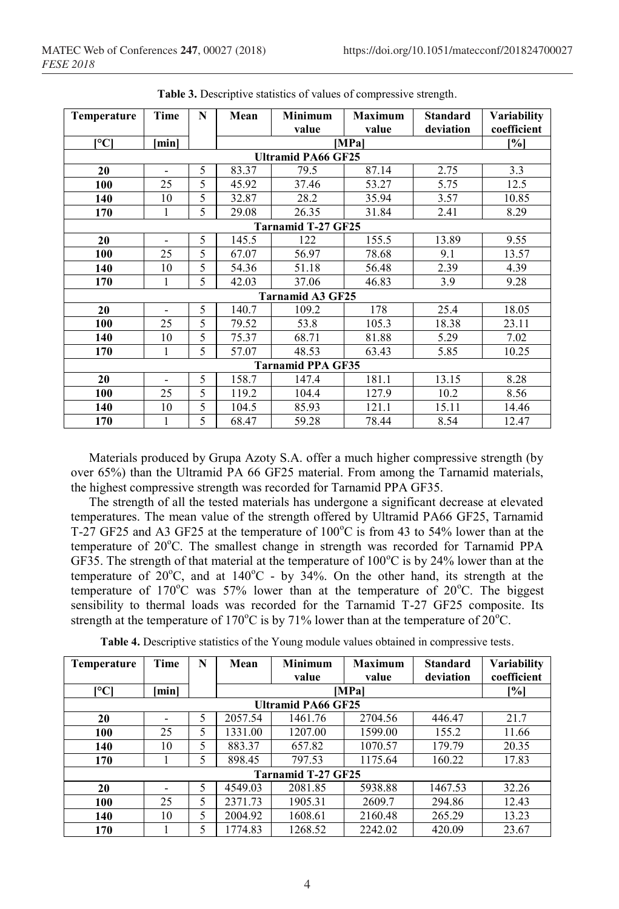| Temperature                             | Time                      | N | Mean  | <b>Minimum</b>          | <b>Maximum</b> | <b>Standard</b> | Variability       |  |  |
|-----------------------------------------|---------------------------|---|-------|-------------------------|----------------|-----------------|-------------------|--|--|
|                                         |                           |   |       | value                   | value          | deviation       | coefficient       |  |  |
| $\mathsf{I}^\circ\mathsf{C} \mathsf{I}$ | minl                      |   | [MPa] |                         |                |                 | $\left[\%\right]$ |  |  |
|                                         | <b>Ultramid PA66 GF25</b> |   |       |                         |                |                 |                   |  |  |
| 20                                      |                           | 5 | 83.37 | 79.5                    | 87.14          | 2.75            | 3.3               |  |  |
| 100                                     | 25                        | 5 | 45.92 | 37.46                   | 53.27          | 5.75            | 12.5              |  |  |
| 140                                     | 10                        | 5 | 32.87 | 28.2                    | 35.94          | 3.57            | 10.85             |  |  |
| 170                                     | $\mathbf{1}$              | 5 | 29.08 | 26.35                   | 31.84          | 2.41            | 8.29              |  |  |
| <b>Tarnamid T-27 GF25</b>               |                           |   |       |                         |                |                 |                   |  |  |
| 20                                      | $\overline{\phantom{0}}$  | 5 | 145.5 | 122                     | 155.5          | 13.89           | 9.55              |  |  |
| 100                                     | 25                        | 5 | 67.07 | 56.97                   | 78.68          | 9.1             | 13.57             |  |  |
| 140                                     | 10                        | 5 | 54.36 | 51.18                   | 56.48          | 2.39            | 4.39              |  |  |
| 170                                     | 1                         | 5 | 42.03 | 37.06                   | 46.83          | 3.9             | 9.28              |  |  |
|                                         |                           |   |       | <b>Tarnamid A3 GF25</b> |                |                 |                   |  |  |
| 20                                      | $\overline{\phantom{0}}$  | 5 | 140.7 | 109.2                   | 178            | 25.4            | 18.05             |  |  |
| 100                                     | 25                        | 5 | 79.52 | 53.8                    | 105.3          | 18.38           | 23.11             |  |  |
| 140                                     | 10                        | 5 | 75.37 | 68.71                   | 81.88          | 5.29            | 7.02              |  |  |
| 170                                     | 1                         | 5 | 57.07 | 48.53                   | 63.43          | 5.85            | 10.25             |  |  |
| <b>Tarnamid PPA GF35</b>                |                           |   |       |                         |                |                 |                   |  |  |
| 20                                      | $\overline{\phantom{0}}$  | 5 | 158.7 | 147.4                   | 181.1          | 13.15           | 8.28              |  |  |
| 100                                     | 25                        | 5 | 119.2 | 104.4                   | 127.9          | 10.2            | 8.56              |  |  |
| 140                                     | 10                        | 5 | 104.5 | 85.93                   | 121.1          | 15.11           | 14.46             |  |  |
| 170                                     | $\mathbf{1}$              | 5 | 68.47 | 59.28                   | 78.44          | 8.54            | 12.47             |  |  |

| Table 3. Descriptive statistics of values of compressive strength. |  |  |  |
|--------------------------------------------------------------------|--|--|--|
|--------------------------------------------------------------------|--|--|--|

Materials produced by Grupa Azoty S.A. offer a much higher compressive strength (by over 65%) than the Ultramid PA 66 GF25 material. From among the Tarnamid materials, the highest compressive strength was recorded for Tarnamid PPA GF35.

The strength of all the tested materials has undergone a significant decrease at elevated temperatures. The mean value of the strength offered by Ultramid PA66 GF25, Tarnamid T-27 GF25 and A3 GF25 at the temperature of  $100^{\circ}$ C is from 43 to 54% lower than at the temperature of 20°C. The smallest change in strength was recorded for Tarnamid PPA GF35. The strength of that material at the temperature of  $100^{\circ}$ C is by 24% lower than at the temperature of  $20^{\circ}$ C, and at  $140^{\circ}$ C - by  $34\%$ . On the other hand, its strength at the temperature of  $170^{\circ}$ C was 57% lower than at the temperature of  $20^{\circ}$ C. The biggest sensibility to thermal loads was recorded for the Tarnamid T-27 GF25 composite. Its strength at the temperature of 170°C is by 71% lower than at the temperature of 20°C.

| Table 4. Descriptive statistics of the Young module values obtained in compressive tests. |  |
|-------------------------------------------------------------------------------------------|--|
|                                                                                           |  |

| <b>Temperature</b>        | Time | N | Mean    | <b>Minimum</b> | <b>Maximum</b> | <b>Standard</b> | <b>Variability</b> |
|---------------------------|------|---|---------|----------------|----------------|-----------------|--------------------|
|                           |      |   |         | value          | value          | deviation       | coefficient        |
| [°C]                      | minl |   |         |                | <b>IMPal</b>   |                 | [%]                |
| <b>Ultramid PA66 GF25</b> |      |   |         |                |                |                 |                    |
| 20                        |      | 5 | 2057.54 | 1461.76        | 2704.56        | 446.47          | 21.7               |
| 100                       | 25   | 5 | 1331.00 | 1207.00        | 1599.00        | 155.2           | 11.66              |
| 140                       | 10   | 5 | 883.37  | 657.82         | 1070.57        | 179.79          | 20.35              |
| 170                       |      | 5 | 898.45  | 797.53         | 1175.64        | 160.22          | 17.83              |
| <b>Tarnamid T-27 GF25</b> |      |   |         |                |                |                 |                    |
| 20                        |      | 5 | 4549.03 | 2081.85        | 5938.88        | 1467.53         | 32.26              |
| 100                       | 25   | 5 | 2371.73 | 1905.31        | 2609.7         | 294.86          | 12.43              |
| 140                       | 10   | 5 | 2004.92 | 1608.61        | 2160.48        | 265.29          | 13.23              |
| 170                       |      | 5 | 1774.83 | 1268.52        | 2242.02        | 420.09          | 23.67              |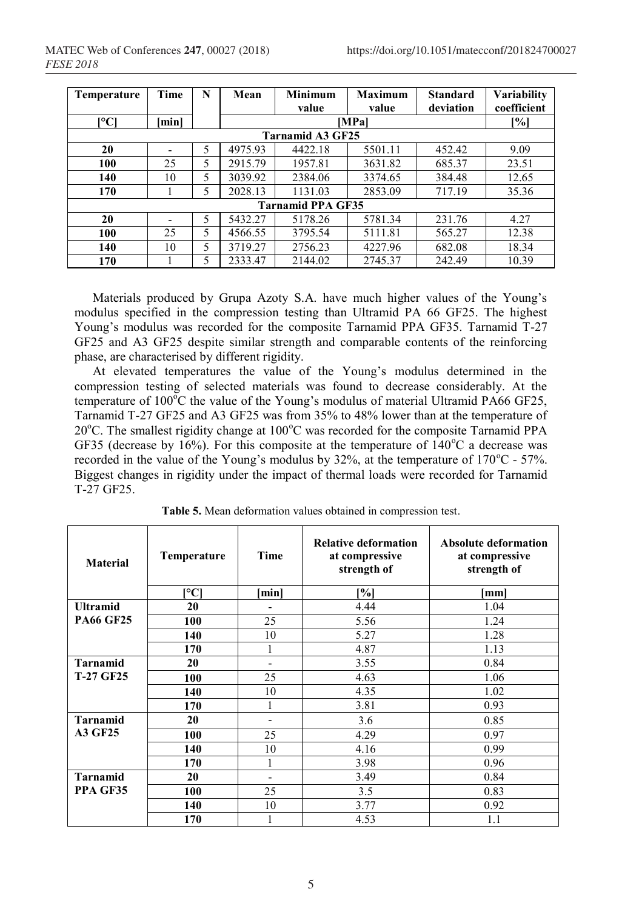| Temperature              | <b>Time</b> | N | Mean    | <b>Minimum</b>          | <b>Maximum</b> | <b>Standard</b> | Variability        |
|--------------------------|-------------|---|---------|-------------------------|----------------|-----------------|--------------------|
|                          |             |   |         | value                   | value          | deviation       | coefficient        |
| $C^{\circ}$              | [min]       |   |         |                         | <b>MPal</b>    |                 | $\lceil \% \rceil$ |
|                          |             |   |         | <b>Tarnamid A3 GF25</b> |                |                 |                    |
| 20                       |             | 5 | 4975.93 | 4422.18                 | 5501.11        | 452.42          | 9.09               |
| 100                      | 25          | 5 | 2915.79 | 1957.81                 | 3631.82        | 685.37          | 23.51              |
| 140                      | 10          | 5 | 3039.92 | 2384.06                 | 3374.65        | 384.48          | 12.65              |
| 170                      |             | 5 | 2028.13 | 1131.03                 | 2853.09        | 717.19          | 35.36              |
| <b>Tarnamid PPA GF35</b> |             |   |         |                         |                |                 |                    |
| 20                       |             | 5 | 5432.27 | 5178.26                 | 5781.34        | 231.76          | 4.27               |
| 100                      | 25          | 5 | 4566.55 | 3795.54                 | 5111.81        | 565.27          | 12.38              |
| 140                      | 10          | 5 | 3719.27 | 2756.23                 | 4227.96        | 682.08          | 18.34              |
| 170                      |             | 5 | 2333.47 | 2144.02                 | 2745.37        | 242.49          | 10.39              |

Materials produced by Grupa Azoty S.A. have much higher values of the Young's modulus specified in the compression testing than Ultramid PA 66 GF25. The highest Young's modulus was recorded for the composite Tarnamid PPA GF35. Tarnamid T-27 GF25 and A3 GF25 despite similar strength and comparable contents of the reinforcing phase, are characterised by different rigidity.

At elevated temperatures the value of the Young's modulus determined in the compression testing of selected materials was found to decrease considerably. At the temperature of  $100^{\circ}$ C the value of the Young's modulus of material Ultramid PA66 GF25, Tarnamid T-27 GF25 and A3 GF25 was from 35% to 48% lower than at the temperature of  $20^{\circ}$ C. The smallest rigidity change at  $100^{\circ}$ C was recorded for the composite Tarnamid PPA GF35 (decrease by 16%). For this composite at the temperature of  $140^{\circ}$ C a decrease was recorded in the value of the Young's modulus by 32%, at the temperature of  $170^{\circ}$ C - 57%. Biggest changes in rigidity under the impact of thermal loads were recorded for Tarnamid T-27 GF25.

| <b>Material</b>  | <b>Temperature</b> | Time                     | <b>Relative deformation</b><br>at compressive<br>strength of | <b>Absolute deformation</b><br>at compressive<br>strength of |
|------------------|--------------------|--------------------------|--------------------------------------------------------------|--------------------------------------------------------------|
|                  | r°Cl               | minl                     | [%]                                                          | mml                                                          |
| <b>Ultramid</b>  | 20                 |                          | 4.44                                                         | 1.04                                                         |
| <b>PA66 GF25</b> | 100                | 25                       | 5.56                                                         | 1.24                                                         |
|                  | 140                | 10                       | 5.27                                                         | 1.28                                                         |
|                  | 170                |                          | 4.87                                                         | 1.13                                                         |
| <b>Tarnamid</b>  | 20                 | $\overline{\phantom{0}}$ | 3.55                                                         | 0.84                                                         |
| <b>T-27 GF25</b> | 100                | 25                       | 4.63                                                         | 1.06                                                         |
|                  | 140                | 10                       | 4.35                                                         | 1.02                                                         |
|                  | 170                |                          | 3.81                                                         | 0.93                                                         |
| <b>Tarnamid</b>  | 20                 |                          | 3.6                                                          | 0.85                                                         |
| <b>A3 GF25</b>   | 100                | 25                       | 4.29                                                         | 0.97                                                         |
|                  | 140                | 10                       | 4.16                                                         | 0.99                                                         |
|                  | 170                |                          | 3.98                                                         | 0.96                                                         |
| <b>Tarnamid</b>  | 20                 | $\overline{\phantom{0}}$ | 3.49                                                         | 0.84                                                         |
| PPA GF35         | 100                | 25                       | 3.5                                                          | 0.83                                                         |
|                  | 140                | 10                       | 3.77                                                         | 0.92                                                         |
|                  | 170                |                          | 4.53                                                         | 1.1                                                          |

**Table 5.** Mean deformation values obtained in compression test.